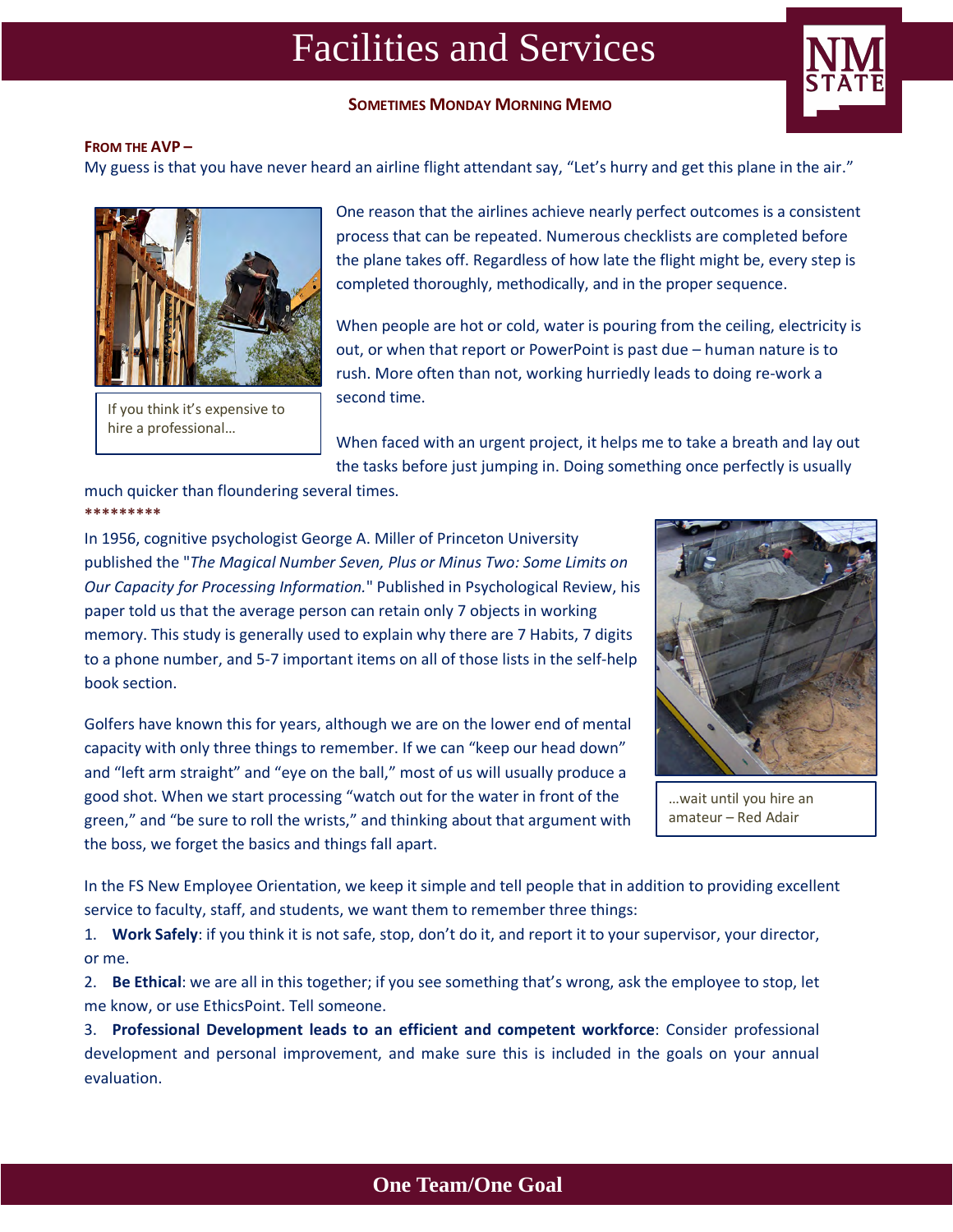# Facilities and Services

## **SOMETIMES MONDAY MORNING MEMO**



#### **FROM THE AVP –**

My guess is that you have never heard an airline flight attendant say, "Let's hurry and get this plane in the air."



If you think it's expensive to hire a professional…

One reason that the airlines achieve nearly perfect outcomes is a consistent process that can be repeated. Numerous checklists are completed before the plane takes off. Regardless of how late the flight might be, every step is completed thoroughly, methodically, and in the proper sequence.

When people are hot or cold, water is pouring from the ceiling, electricity is out, or when that report or PowerPoint is past due – human nature is to rush. More often than not, working hurriedly leads to doing re-work a second time.

When faced with an urgent project, it helps me to take a breath and lay out the tasks before just jumping in. Doing something once perfectly is usually

#### much quicker than floundering several times. **\*\*\*\*\*\*\*\*\***

In 1956, cognitive psychologist George A. Miller of Princeton University published the "*The Magical Number Seven, Plus or Minus Two: Some Limits on Our Capacity for Processing Information.*" Published in Psychological Review, his paper told us that the average person can retain only 7 objects in working memory. This study is generally used to explain why there are 7 Habits, 7 digits to a phone number, and 5-7 important items on all of those lists in the self-help book section.

Golfers have known this for years, although we are on the lower end of mental capacity with only three things to remember. If we can "keep our head down" and "left arm straight" and "eye on the ball," most of us will usually produce a good shot. When we start processing "watch out for the water in front of the green," and "be sure to roll the wrists," and thinking about that argument with the boss, we forget the basics and things fall apart.



…wait until you hire an amateur – Red Adair

In the FS New Employee Orientation, we keep it simple and tell people that in addition to providing excellent service to faculty, staff, and students, we want them to remember three things:

1. **Work Safely**: if you think it is not safe, stop, don't do it, and report it to your supervisor, your director, or me.

2. **Be Ethical**: we are all in this together; if you see something that's wrong, ask the employee to stop, let me know, or use EthicsPoint. Tell someone.

3. **Professional Development leads to an efficient and competent workforce**: Consider professional development and personal improvement, and make sure this is included in the goals on your annual evaluation.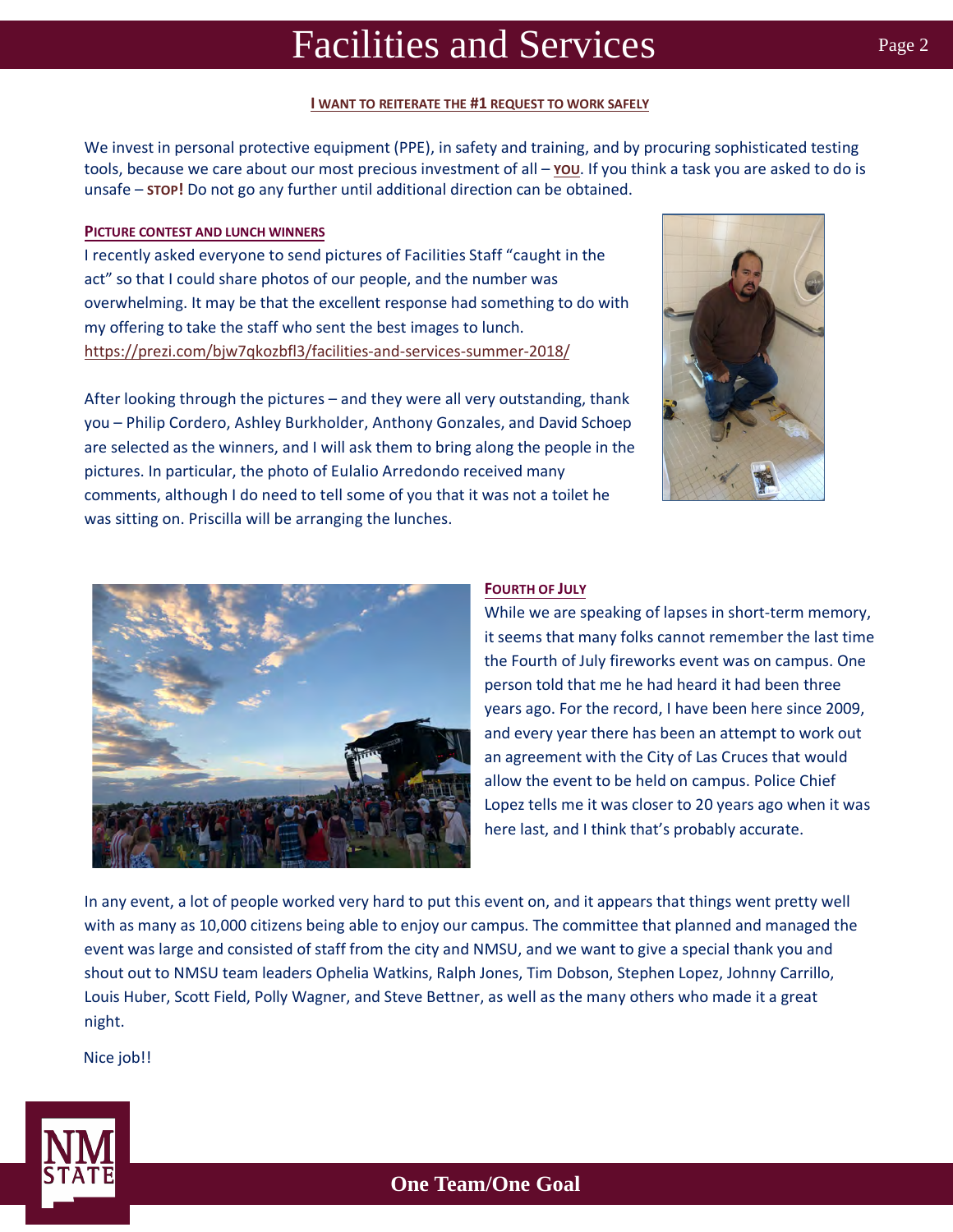## Facilities and Services

#### **I WANT TO REITERATE THE #1 REQUEST TO WORK SAFELY**

We invest in personal protective equipment (PPE), in safety and training, and by procuring sophisticated testing tools, because we care about our most precious investment of all – **YOU**. If you think a task you are asked to do is unsafe – **STOP!** Do not go any further until additional direction can be obtained.

### **PICTURE CONTEST AND LUNCH WINNERS**

I recently asked everyone to send pictures of Facilities Staff "caught in the act" so that I could share photos of our people, and the number was overwhelming. It may be that the excellent response had something to do with my offering to take the staff who sent the best images to lunch. https://prezi.com/bjw7qkozbfl3/facilities-and-services-summer-2018/



After looking through the pictures – and they were all very outstanding, thank you – Philip Cordero, Ashley Burkholder, Anthony Gonzales, and David Schoep are selected as the winners, and I will ask them to bring along the people in the pictures. In particular, the photo of Eulalio Arredondo received many comments, although I do need to tell some of you that it was not a toilet he was sitting on. Priscilla will be arranging the lunches.



### **FOURTH OF JULY**

While we are speaking of lapses in short-term memory, it seems that many folks cannot remember the last time the Fourth of July fireworks event was on campus. One person told that me he had heard it had been three years ago. For the record, I have been here since 2009, and every year there has been an attempt to work out an agreement with the City of Las Cruces that would allow the event to be held on campus. Police Chief Lopez tells me it was closer to 20 years ago when it was here last, and I think that's probably accurate.

In any event, a lot of people worked very hard to put this event on, and it appears that things went pretty well with as many as 10,000 citizens being able to enjoy our campus. The committee that planned and managed the event was large and consisted of staff from the city and NMSU, and we want to give a special thank you and shout out to NMSU team leaders Ophelia Watkins, Ralph Jones, Tim Dobson, Stephen Lopez, Johnny Carrillo, Louis Huber, Scott Field, Polly Wagner, and Steve Bettner, as well as the many others who made it a great night.

Nice job!!